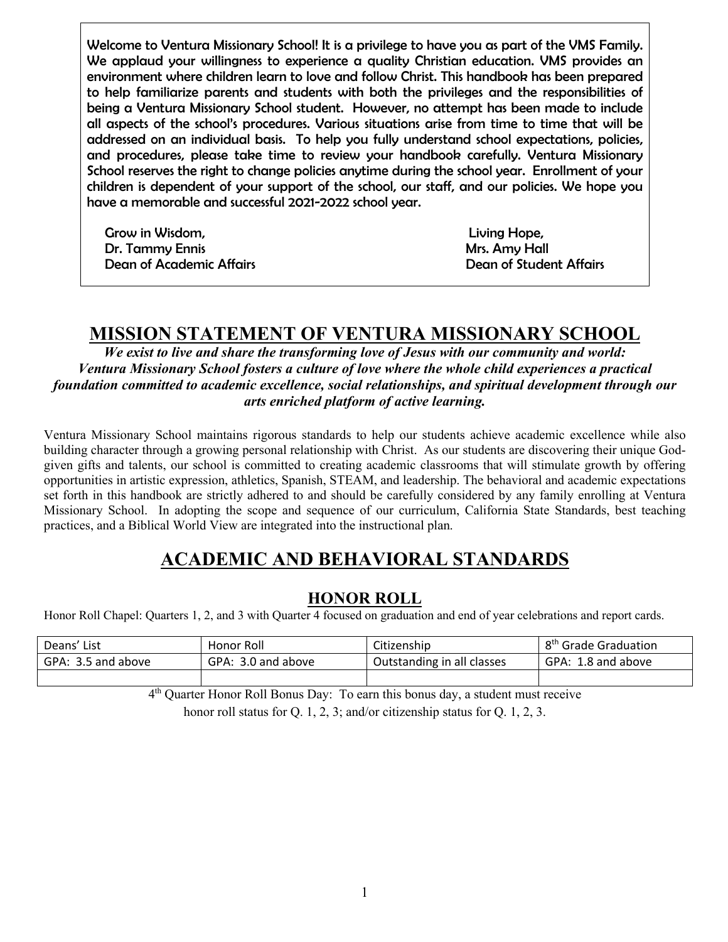Welcome to Ventura Missionary School! It is a privilege to have you as part of the VMS Family. We applaud your willingness to experience a quality Christian education. VMS provides an environment where children learn to love and follow Christ. This handbook has been prepared to help familiarize parents and students with both the privileges and the responsibilities of being a Ventura Missionary School student. However, no attempt has been made to include all aspects of the school's procedures. Various situations arise from time to time that will be addressed on an individual basis. To help you fully understand school expectations, policies, and procedures, please take time to review your handbook carefully. Ventura Missionary School reserves the right to change policies anytime during the school year. Enrollment of your children is dependent of your support of the school, our staff, and our policies. We hope you have a memorable and successful 2021-2022 school year.

 Grow in Wisdom, Living Hope, Dr. Tammy Ennis (Dr. Tammy Ennis Affairs Amy Hall Dean of Academic Affairs Dean of Student Affairs Dean of Student Affairs (Dean of Student Affairs )

# **MISSION STATEMENT OF VENTURA MISSIONARY SCHOOL**

*We exist to live and share the transforming love of Jesus with our community and world: Ventura Missionary School fosters a culture of love where the whole child experiences a practical foundation committed to academic excellence, social relationships, and spiritual development through our arts enriched platform of active learning.*

Ventura Missionary School maintains rigorous standards to help our students achieve academic excellence while also building character through a growing personal relationship with Christ. As our students are discovering their unique Godgiven gifts and talents, our school is committed to creating academic classrooms that will stimulate growth by offering opportunities in artistic expression, athletics, Spanish, STEAM, and leadership. The behavioral and academic expectations set forth in this handbook are strictly adhered to and should be carefully considered by any family enrolling at Ventura Missionary School. In adopting the scope and sequence of our curriculum, California State Standards, best teaching practices, and a Biblical World View are integrated into the instructional plan.

# **ACADEMIC AND BEHAVIORAL STANDARDS**

### **HONOR ROLL**

Honor Roll Chapel: Quarters 1, 2, and 3 with Quarter 4 focused on graduation and end of year celebrations and report cards.

| Deans' List        | Honor Roll         | Citizenship                | 8 <sup>th</sup> Grade Graduation |
|--------------------|--------------------|----------------------------|----------------------------------|
| GPA: 3.5 and above | GPA: 3.0 and above | Outstanding in all classes | GPA: 1.8 and above               |
|                    |                    |                            |                                  |

4th Quarter Honor Roll Bonus Day: To earn this bonus day, a student must receive

honor roll status for Q. 1, 2, 3; and/or citizenship status for Q. 1, 2, 3.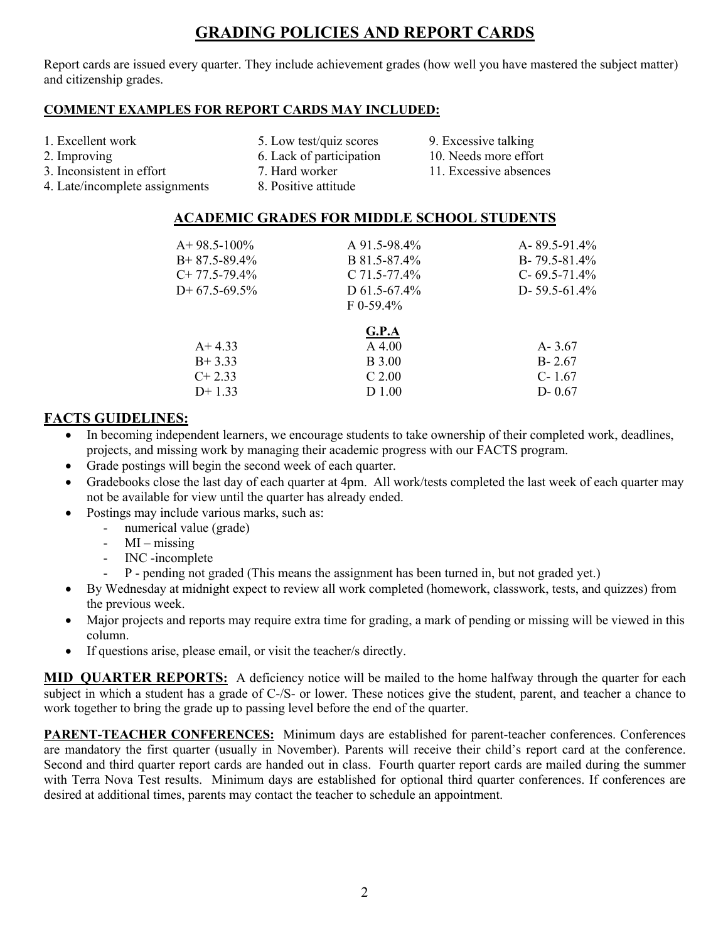# **GRADING POLICIES AND REPORT CARDS**

Report cards are issued every quarter. They include achievement grades (how well you have mastered the subject matter) and citizenship grades.

#### **COMMENT EXAMPLES FOR REPORT CARDS MAY INCLUDED:**

- 
- 
- 1. Excellent work 5. Low test/quiz scores 9. Excessive talking
- 2. Improving 2. Improving 6. Lack of participation 10. Needs more effort
	-
- 4. Late/incomplete assignments 8. Positive attitude
- 
- 3. Inconsistent in effort 7. Hard worker 11. Excessive absences
	- **ACADEMIC GRADES FOR MIDDLE SCHOOL STUDENTS**

| $A+98.5-100\%$   | A 91.5-98.4%      | A-89.5-91.4%        |
|------------------|-------------------|---------------------|
| $B+87.5-89.4\%$  | B 81.5-87.4%      | $B - 79.5 - 81.4\%$ |
| $C+ 77.5-79.4\%$ | C $71.5 - 77.4\%$ | C- $69.5 - 71.4\%$  |
| $D+67.5-69.5\%$  | D $61.5 - 67.4\%$ | D- 59.5-61.4%       |
|                  | $F_{0-59.4\%}$    |                     |
|                  | G.P.A             |                     |
| $A+4.33$         | $A\,4.00$         | $A - 3.67$          |
| $B+3.33$         | <b>B</b> 3.00     | $B - 2.67$          |
| $C+2.33$         | $C$ 2.00          | $C-1.67$            |
| $D+1.33$         | D 1.00            | $D - 0.67$          |
|                  |                   |                     |

### **FACTS GUIDELINES:**

- In becoming independent learners, we encourage students to take ownership of their completed work, deadlines, projects, and missing work by managing their academic progress with our FACTS program.
- Grade postings will begin the second week of each quarter.
- Gradebooks close the last day of each quarter at 4pm. All work/tests completed the last week of each quarter may not be available for view until the quarter has already ended.
- Postings may include various marks, such as:
	- numerical value (grade)
	- $-$  MI missing
	- INC -incomplete
	- P pending not graded (This means the assignment has been turned in, but not graded yet.)
- By Wednesday at midnight expect to review all work completed (homework, classwork, tests, and quizzes) from the previous week.
- Major projects and reports may require extra time for grading, a mark of pending or missing will be viewed in this column.
- If questions arise, please email, or visit the teacher/s directly.

**MID\_QUARTER REPORTS:** A deficiency notice will be mailed to the home halfway through the quarter for each subject in which a student has a grade of C-/S- or lower. These notices give the student, parent, and teacher a chance to work together to bring the grade up to passing level before the end of the quarter.

**PARENT-TEACHER CONFERENCES:** Minimum days are established for parent-teacher conferences. Conferences are mandatory the first quarter (usually in November). Parents will receive their child's report card at the conference. Second and third quarter report cards are handed out in class. Fourth quarter report cards are mailed during the summer with Terra Nova Test results. Minimum days are established for optional third quarter conferences. If conferences are desired at additional times, parents may contact the teacher to schedule an appointment.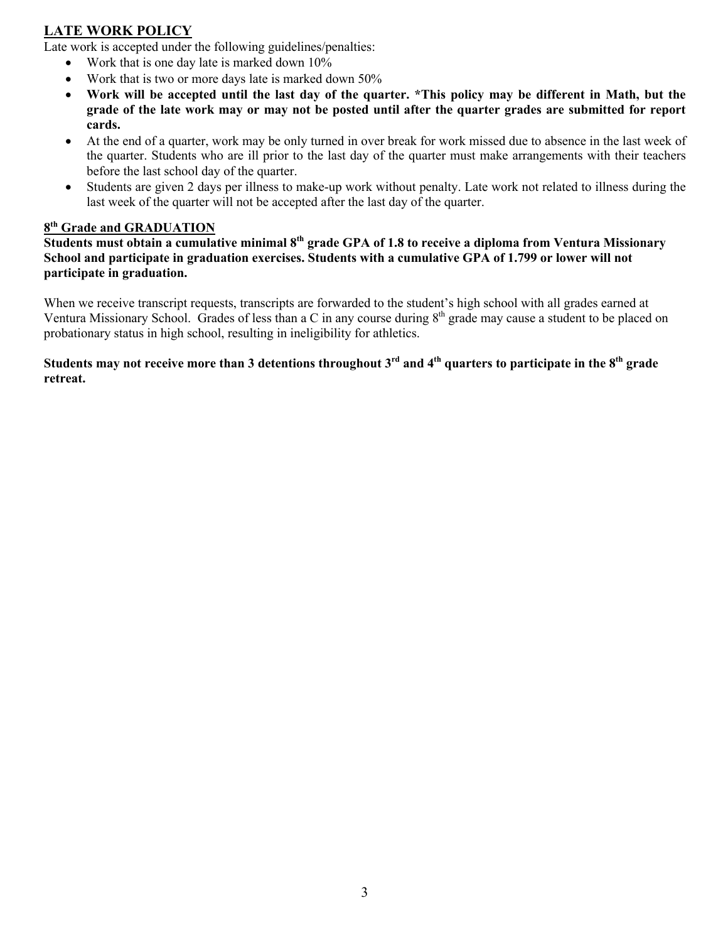### **LATE WORK POLICY**

Late work is accepted under the following guidelines/penalties:

- Work that is one day late is marked down 10%
- Work that is two or more days late is marked down 50%
- **Work will be accepted until the last day of the quarter. \*This policy may be different in Math, but the grade of the late work may or may not be posted until after the quarter grades are submitted for report cards.**
- At the end of a quarter, work may be only turned in over break for work missed due to absence in the last week of the quarter. Students who are ill prior to the last day of the quarter must make arrangements with their teachers before the last school day of the quarter.
- Students are given 2 days per illness to make-up work without penalty. Late work not related to illness during the last week of the quarter will not be accepted after the last day of the quarter.

#### **8th Grade and GRADUATION**

**Students must obtain a cumulative minimal 8th grade GPA of 1.8 to receive a diploma from Ventura Missionary School and participate in graduation exercises. Students with a cumulative GPA of 1.799 or lower will not participate in graduation.** 

When we receive transcript requests, transcripts are forwarded to the student's high school with all grades earned at Ventura Missionary School. Grades of less than a C in any course during  $8<sup>th</sup>$  grade may cause a student to be placed on probationary status in high school, resulting in ineligibility for athletics.

**Students may not receive more than 3 detentions throughout 3rd and 4th quarters to participate in the 8th grade retreat.**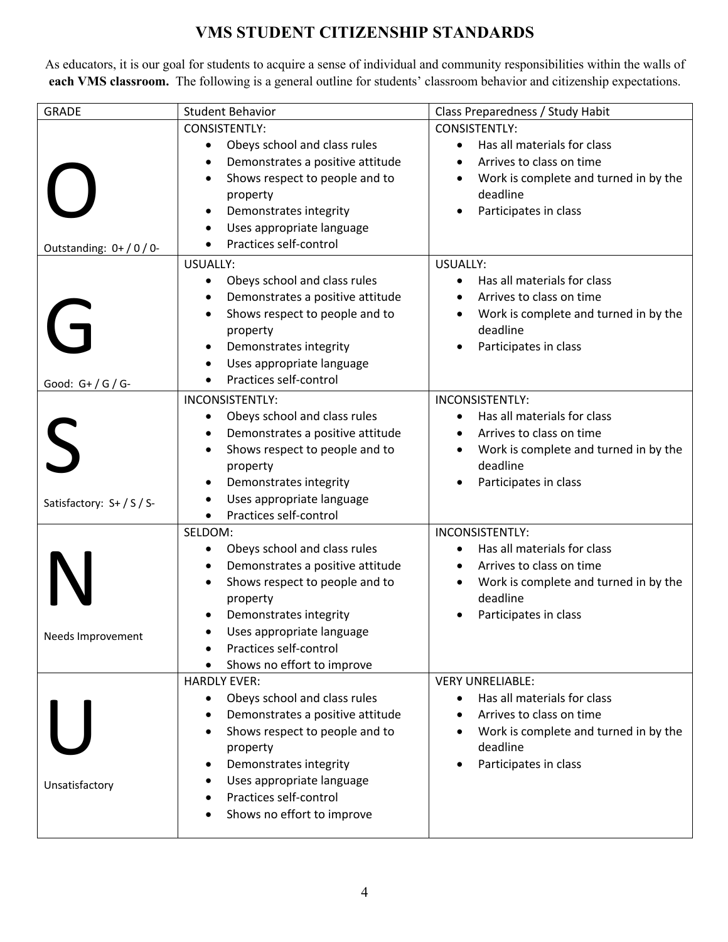# **VMS STUDENT CITIZENSHIP STANDARDS**

As educators, it is our goal for students to acquire a sense of individual and community responsibilities within the walls of **each VMS classroom.** The following is a general outline for students' classroom behavior and citizenship expectations.

| <b>GRADE</b>          | <b>Student Behavior</b>                                          | Class Preparedness / Study Habit                  |
|-----------------------|------------------------------------------------------------------|---------------------------------------------------|
|                       | <b>CONSISTENTLY:</b>                                             | CONSISTENTLY:                                     |
|                       | Obeys school and class rules<br>$\bullet$                        | Has all materials for class<br>$\bullet$          |
|                       | Demonstrates a positive attitude<br>$\bullet$                    | Arrives to class on time                          |
|                       | Shows respect to people and to<br>$\bullet$<br>property          | Work is complete and turned in by the<br>deadline |
|                       | Demonstrates integrity<br>٠                                      | Participates in class                             |
|                       | Uses appropriate language<br>$\bullet$                           |                                                   |
| Outstanding: 0+/0/0-  | Practices self-control                                           |                                                   |
|                       | <b>USUALLY:</b>                                                  | <b>USUALLY:</b>                                   |
|                       | Obeys school and class rules<br>$\bullet$                        | Has all materials for class                       |
|                       | Demonstrates a positive attitude<br>$\bullet$                    | Arrives to class on time                          |
|                       | Shows respect to people and to<br>٠                              | Work is complete and turned in by the             |
|                       | property                                                         | deadline                                          |
|                       | Demonstrates integrity<br>٠                                      | Participates in class                             |
|                       | Uses appropriate language                                        |                                                   |
| Good: $G+ / G / G$ -  | Practices self-control                                           |                                                   |
|                       | INCONSISTENTLY:                                                  | INCONSISTENTLY:                                   |
|                       | Obeys school and class rules<br>٠                                | Has all materials for class                       |
|                       | Demonstrates a positive attitude<br>$\bullet$                    | Arrives to class on time                          |
|                       | Shows respect to people and to<br>٠                              | Work is complete and turned in by the             |
|                       | property                                                         | deadline                                          |
|                       | Demonstrates integrity<br>$\bullet$                              | Participates in class                             |
| Satisfactory: S+/S/S- | Uses appropriate language<br>$\bullet$                           |                                                   |
|                       | Practices self-control                                           |                                                   |
|                       | SELDOM:                                                          | <b>INCONSISTENTLY:</b>                            |
|                       | Obeys school and class rules<br>٠                                | Has all materials for class                       |
|                       | Demonstrates a positive attitude<br>٠                            | Arrives to class on time                          |
|                       | Shows respect to people and to<br>$\bullet$                      | Work is complete and turned in by the             |
|                       | property                                                         | deadline<br>Participates in class                 |
|                       | Demonstrates integrity                                           |                                                   |
| Needs Improvement     | Uses appropriate language<br>Practices self-control<br>$\bullet$ |                                                   |
|                       | Shows no effort to improve                                       |                                                   |
|                       | <b>HARDLY EVER:</b>                                              | <b>VERY UNRELIABLE:</b>                           |
|                       | Obeys school and class rules<br>٠                                | Has all materials for class<br>$\bullet$          |
|                       | Demonstrates a positive attitude                                 | Arrives to class on time                          |
|                       | Shows respect to people and to<br>$\bullet$                      | Work is complete and turned in by the             |
|                       | property                                                         | deadline                                          |
|                       | Demonstrates integrity<br>٠                                      | Participates in class                             |
| Unsatisfactory        | Uses appropriate language                                        |                                                   |
|                       | Practices self-control                                           |                                                   |
|                       | Shows no effort to improve                                       |                                                   |
|                       |                                                                  |                                                   |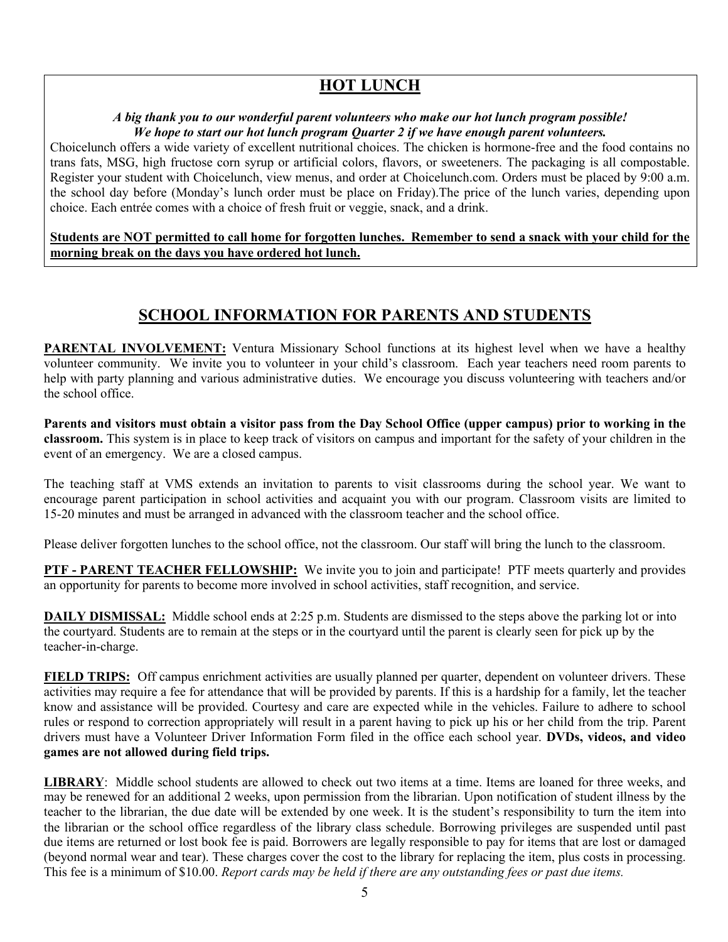#### *A big thank you to our wonderful parent volunteers who make our hot lunch program possible! We hope to start our hot lunch program Quarter 2 if we have enough parent volunteers.*

Choicelunch offers a wide variety of excellent nutritional choices. The chicken is hormone-free and the food contains no trans fats, MSG, high fructose corn syrup or artificial colors, flavors, or sweeteners. The packaging is all compostable. Register your student with Choicelunch, view menus, and order at Choicelunch.com. Orders must be placed by 9:00 a.m. the school day before (Monday's lunch order must be place on Friday).The price of the lunch varies, depending upon choice. Each entrée comes with a choice of fresh fruit or veggie, snack, and a drink.

**Students are NOT permitted to call home for forgotten lunches. Remember to send a snack with your child for the morning break on the days you have ordered hot lunch.** 

# **SCHOOL INFORMATION FOR PARENTS AND STUDENTS**

**PARENTAL INVOLVEMENT:** Ventura Missionary School functions at its highest level when we have a healthy volunteer community. We invite you to volunteer in your child's classroom. Each year teachers need room parents to help with party planning and various administrative duties. We encourage you discuss volunteering with teachers and/or the school office.

**Parents and visitors must obtain a visitor pass from the Day School Office (upper campus) prior to working in the classroom.** This system is in place to keep track of visitors on campus and important for the safety of your children in the event of an emergency. We are a closed campus.

The teaching staff at VMS extends an invitation to parents to visit classrooms during the school year. We want to encourage parent participation in school activities and acquaint you with our program. Classroom visits are limited to 15-20 minutes and must be arranged in advanced with the classroom teacher and the school office.

Please deliver forgotten lunches to the school office, not the classroom. Our staff will bring the lunch to the classroom.

**PTF - PARENT TEACHER FELLOWSHIP:** We invite you to join and participate! PTF meets quarterly and provides an opportunity for parents to become more involved in school activities, staff recognition, and service.

**DAILY DISMISSAL:** Middle school ends at 2:25 p.m. Students are dismissed to the steps above the parking lot or into the courtyard. Students are to remain at the steps or in the courtyard until the parent is clearly seen for pick up by the teacher-in-charge.

**FIELD TRIPS:** Off campus enrichment activities are usually planned per quarter, dependent on volunteer drivers. These activities may require a fee for attendance that will be provided by parents. If this is a hardship for a family, let the teacher know and assistance will be provided. Courtesy and care are expected while in the vehicles. Failure to adhere to school rules or respond to correction appropriately will result in a parent having to pick up his or her child from the trip. Parent drivers must have a Volunteer Driver Information Form filed in the office each school year. **DVDs, videos, and video games are not allowed during field trips.**

**LIBRARY**: Middle school students are allowed to check out two items at a time. Items are loaned for three weeks, and may be renewed for an additional 2 weeks, upon permission from the librarian. Upon notification of student illness by the teacher to the librarian, the due date will be extended by one week. It is the student's responsibility to turn the item into the librarian or the school office regardless of the library class schedule. Borrowing privileges are suspended until past due items are returned or lost book fee is paid. Borrowers are legally responsible to pay for items that are lost or damaged (beyond normal wear and tear). These charges cover the cost to the library for replacing the item, plus costs in processing. This fee is a minimum of \$10.00. *Report cards may be held if there are any outstanding fees or past due items.*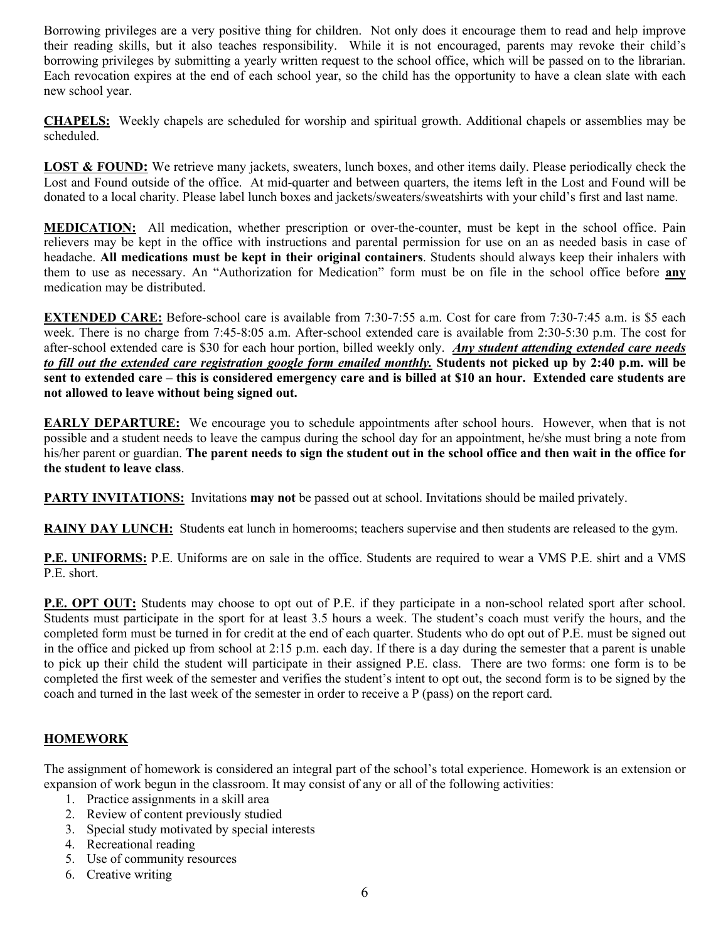Borrowing privileges are a very positive thing for children. Not only does it encourage them to read and help improve their reading skills, but it also teaches responsibility. While it is not encouraged, parents may revoke their child's borrowing privileges by submitting a yearly written request to the school office, which will be passed on to the librarian. Each revocation expires at the end of each school year, so the child has the opportunity to have a clean slate with each new school year.

**CHAPELS:** Weekly chapels are scheduled for worship and spiritual growth. Additional chapels or assemblies may be scheduled.

**LOST & FOUND:** We retrieve many jackets, sweaters, lunch boxes, and other items daily. Please periodically check the Lost and Found outside of the office. At mid-quarter and between quarters, the items left in the Lost and Found will be donated to a local charity. Please label lunch boxes and jackets/sweaters/sweatshirts with your child's first and last name.

**MEDICATION:** All medication, whether prescription or over-the-counter, must be kept in the school office. Pain relievers may be kept in the office with instructions and parental permission for use on an as needed basis in case of headache. **All medications must be kept in their original containers**. Students should always keep their inhalers with them to use as necessary. An "Authorization for Medication" form must be on file in the school office before **any** medication may be distributed.

**EXTENDED CARE:** Before-school care is available from 7:30-7:55 a.m. Cost for care from 7:30-7:45 a.m. is \$5 each week. There is no charge from 7:45-8:05 a.m. After-school extended care is available from 2:30-5:30 p.m. The cost for after-school extended care is \$30 for each hour portion, billed weekly only. *Any student attending extended care needs to fill out the extended care registration google form emailed monthly.* **Students not picked up by 2:40 p.m. will be sent to extended care – this is considered emergency care and is billed at \$10 an hour. Extended care students are not allowed to leave without being signed out.**

**EARLY DEPARTURE:** We encourage you to schedule appointments after school hours. However, when that is not possible and a student needs to leave the campus during the school day for an appointment, he/she must bring a note from his/her parent or guardian. **The parent needs to sign the student out in the school office and then wait in the office for the student to leave class**.

**PARTY INVITATIONS:** Invitations **may not** be passed out at school. Invitations should be mailed privately.

**RAINY DAY LUNCH:** Students eat lunch in homerooms; teachers supervise and then students are released to the gym.

**P.E. UNIFORMS:** P.E. Uniforms are on sale in the office. Students are required to wear a VMS P.E. shirt and a VMS P.E. short.

**P.E. OPT OUT:** Students may choose to opt out of P.E. if they participate in a non-school related sport after school. Students must participate in the sport for at least 3.5 hours a week. The student's coach must verify the hours, and the completed form must be turned in for credit at the end of each quarter. Students who do opt out of P.E. must be signed out in the office and picked up from school at 2:15 p.m. each day. If there is a day during the semester that a parent is unable to pick up their child the student will participate in their assigned P.E. class. There are two forms: one form is to be completed the first week of the semester and verifies the student's intent to opt out, the second form is to be signed by the coach and turned in the last week of the semester in order to receive a P (pass) on the report card.

### **HOMEWORK**

The assignment of homework is considered an integral part of the school's total experience. Homework is an extension or expansion of work begun in the classroom. It may consist of any or all of the following activities:

- 1. Practice assignments in a skill area
- 2. Review of content previously studied
- 3. Special study motivated by special interests
- 4. Recreational reading
- 5. Use of community resources
- 6. Creative writing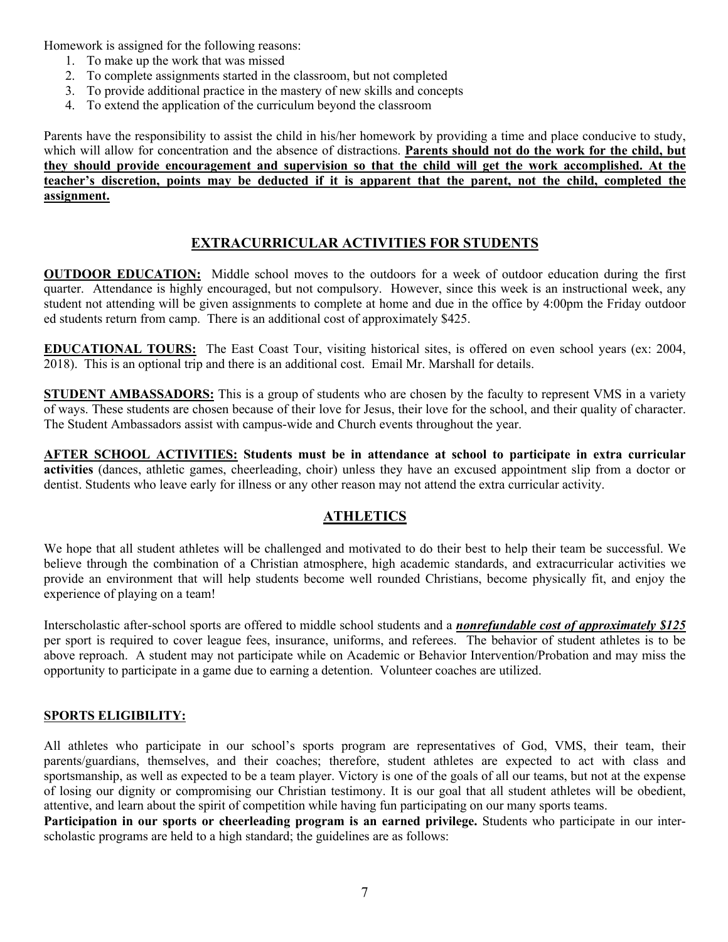Homework is assigned for the following reasons:

- 1. To make up the work that was missed
- 2. To complete assignments started in the classroom, but not completed
- 3. To provide additional practice in the mastery of new skills and concepts
- 4. To extend the application of the curriculum beyond the classroom

Parents have the responsibility to assist the child in his/her homework by providing a time and place conducive to study, which will allow for concentration and the absence of distractions. **Parents should not do the work for the child, but they should provide encouragement and supervision so that the child will get the work accomplished. At the teacher's discretion, points may be deducted if it is apparent that the parent, not the child, completed the assignment.**

#### **EXTRACURRICULAR ACTIVITIES FOR STUDENTS**

**OUTDOOR EDUCATION:** Middle school moves to the outdoors for a week of outdoor education during the first quarter. Attendance is highly encouraged, but not compulsory. However, since this week is an instructional week, any student not attending will be given assignments to complete at home and due in the office by 4:00pm the Friday outdoor ed students return from camp. There is an additional cost of approximately \$425.

**EDUCATIONAL TOURS:** The East Coast Tour, visiting historical sites, is offered on even school years (ex: 2004, 2018). This is an optional trip and there is an additional cost. Email Mr. Marshall for details.

**STUDENT AMBASSADORS:** This is a group of students who are chosen by the faculty to represent VMS in a variety of ways. These students are chosen because of their love for Jesus, their love for the school, and their quality of character. The Student Ambassadors assist with campus-wide and Church events throughout the year.

**AFTER SCHOOL ACTIVITIES: Students must be in attendance at school to participate in extra curricular activities** (dances, athletic games, cheerleading, choir) unless they have an excused appointment slip from a doctor or dentist. Students who leave early for illness or any other reason may not attend the extra curricular activity.

#### **ATHLETICS**

We hope that all student athletes will be challenged and motivated to do their best to help their team be successful. We believe through the combination of a Christian atmosphere, high academic standards, and extracurricular activities we provide an environment that will help students become well rounded Christians, become physically fit, and enjoy the experience of playing on a team!

Interscholastic after-school sports are offered to middle school students and a *nonrefundable cost of approximately \$125* per sport is required to cover league fees, insurance, uniforms, and referees. The behavior of student athletes is to be above reproach. A student may not participate while on Academic or Behavior Intervention/Probation and may miss the opportunity to participate in a game due to earning a detention. Volunteer coaches are utilized.

#### **SPORTS ELIGIBILITY:**

All athletes who participate in our school's sports program are representatives of God, VMS, their team, their parents/guardians, themselves, and their coaches; therefore, student athletes are expected to act with class and sportsmanship, as well as expected to be a team player. Victory is one of the goals of all our teams, but not at the expense of losing our dignity or compromising our Christian testimony. It is our goal that all student athletes will be obedient, attentive, and learn about the spirit of competition while having fun participating on our many sports teams.

**Participation in our sports or cheerleading program is an earned privilege.** Students who participate in our interscholastic programs are held to a high standard; the guidelines are as follows: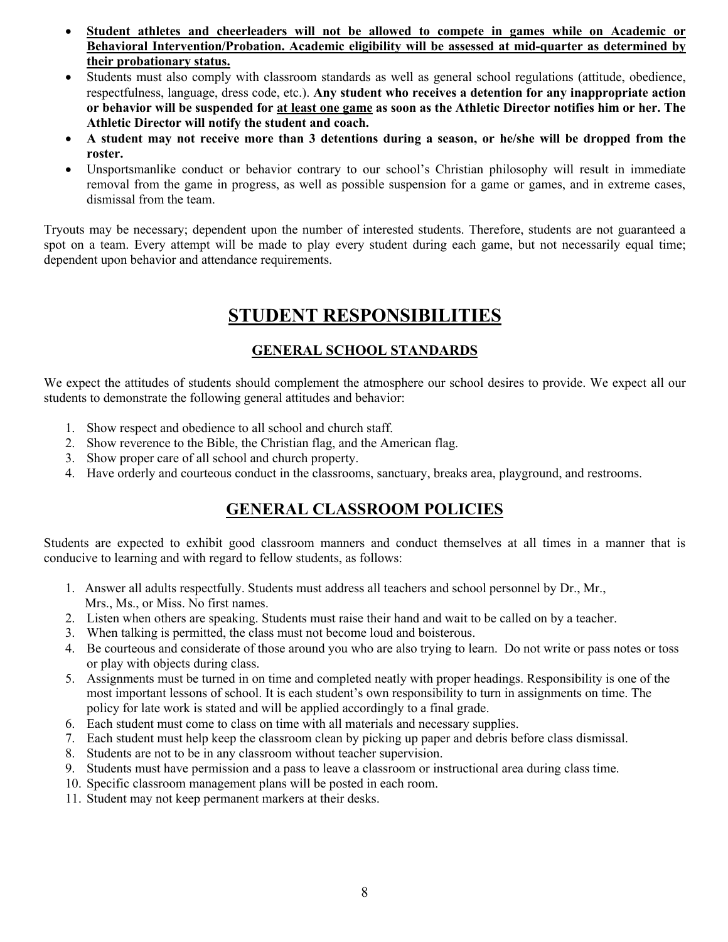- **Student athletes and cheerleaders will not be allowed to compete in games while on Academic or Behavioral Intervention/Probation. Academic eligibility will be assessed at mid-quarter as determined by their probationary status.**
- Students must also comply with classroom standards as well as general school regulations (attitude, obedience, respectfulness, language, dress code, etc.). **Any student who receives a detention for any inappropriate action or behavior will be suspended for at least one game as soon as the Athletic Director notifies him or her. The Athletic Director will notify the student and coach.**
- **A student may not receive more than 3 detentions during a season, or he/she will be dropped from the roster.**
- Unsportsmanlike conduct or behavior contrary to our school's Christian philosophy will result in immediate removal from the game in progress, as well as possible suspension for a game or games, and in extreme cases, dismissal from the team.

Tryouts may be necessary; dependent upon the number of interested students. Therefore, students are not guaranteed a spot on a team. Every attempt will be made to play every student during each game, but not necessarily equal time; dependent upon behavior and attendance requirements.

# **STUDENT RESPONSIBILITIES**

### **GENERAL SCHOOL STANDARDS**

We expect the attitudes of students should complement the atmosphere our school desires to provide. We expect all our students to demonstrate the following general attitudes and behavior:

- 1. Show respect and obedience to all school and church staff.
- 2. Show reverence to the Bible, the Christian flag, and the American flag.
- 3. Show proper care of all school and church property.
- 4. Have orderly and courteous conduct in the classrooms, sanctuary, breaks area, playground, and restrooms.

# **GENERAL CLASSROOM POLICIES**

Students are expected to exhibit good classroom manners and conduct themselves at all times in a manner that is conducive to learning and with regard to fellow students, as follows:

- 1. Answer all adults respectfully. Students must address all teachers and school personnel by Dr., Mr., Mrs., Ms., or Miss. No first names.
- 2. Listen when others are speaking. Students must raise their hand and wait to be called on by a teacher.
- 3. When talking is permitted, the class must not become loud and boisterous.
- 4. Be courteous and considerate of those around you who are also trying to learn. Do not write or pass notes or toss or play with objects during class.
- 5. Assignments must be turned in on time and completed neatly with proper headings. Responsibility is one of the most important lessons of school. It is each student's own responsibility to turn in assignments on time. The policy for late work is stated and will be applied accordingly to a final grade.
- 6. Each student must come to class on time with all materials and necessary supplies.
- 7. Each student must help keep the classroom clean by picking up paper and debris before class dismissal.
- 8. Students are not to be in any classroom without teacher supervision.
- 9. Students must have permission and a pass to leave a classroom or instructional area during class time.
- 10. Specific classroom management plans will be posted in each room.
- 11. Student may not keep permanent markers at their desks.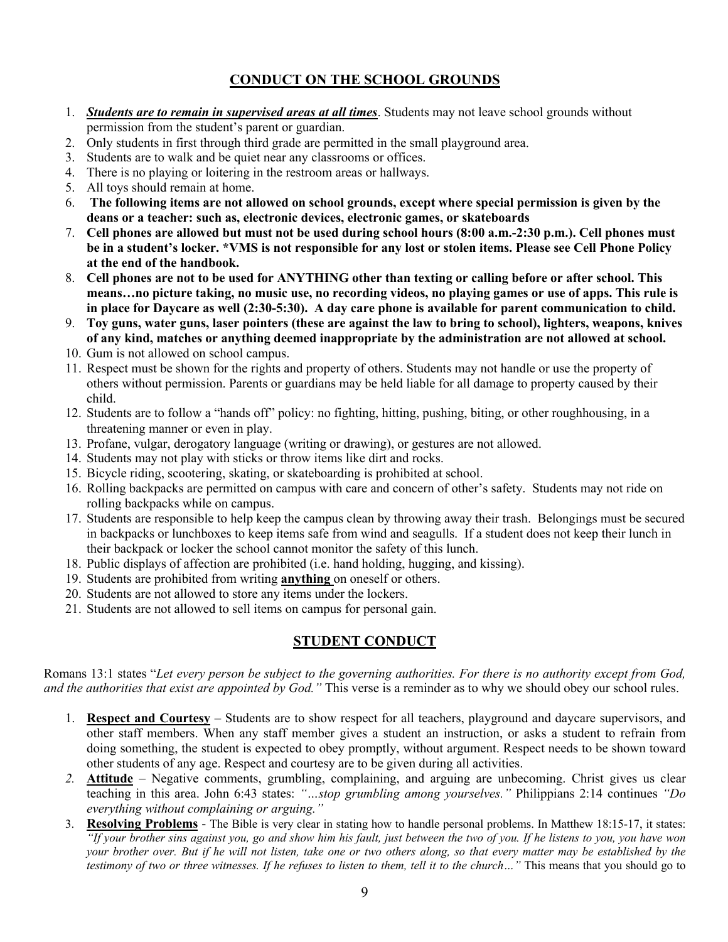### **CONDUCT ON THE SCHOOL GROUNDS**

- 1. *Students are to remain in supervised areas at all times*. Students may not leave school grounds without permission from the student's parent or guardian.
- 2. Only students in first through third grade are permitted in the small playground area.
- 3. Students are to walk and be quiet near any classrooms or offices.
- 4. There is no playing or loitering in the restroom areas or hallways.
- 5. All toys should remain at home.
- 6. **The following items are not allowed on school grounds, except where special permission is given by the deans or a teacher: such as, electronic devices, electronic games, or skateboards**
- 7. **Cell phones are allowed but must not be used during school hours (8:00 a.m.-2:30 p.m.). Cell phones must be in a student's locker. \*VMS is not responsible for any lost or stolen items. Please see Cell Phone Policy at the end of the handbook.**
- 8. **Cell phones are not to be used for ANYTHING other than texting or calling before or after school. This means…no picture taking, no music use, no recording videos, no playing games or use of apps. This rule is in place for Daycare as well (2:30-5:30). A day care phone is available for parent communication to child.**
- 9. **Toy guns, water guns, laser pointers (these are against the law to bring to school), lighters, weapons, knives of any kind, matches or anything deemed inappropriate by the administration are not allowed at school.**
- 10. Gum is not allowed on school campus.
- 11. Respect must be shown for the rights and property of others. Students may not handle or use the property of others without permission. Parents or guardians may be held liable for all damage to property caused by their child.
- 12. Students are to follow a "hands off" policy: no fighting, hitting, pushing, biting, or other roughhousing, in a threatening manner or even in play.
- 13. Profane, vulgar, derogatory language (writing or drawing), or gestures are not allowed.
- 14. Students may not play with sticks or throw items like dirt and rocks.
- 15. Bicycle riding, scootering, skating, or skateboarding is prohibited at school.
- 16. Rolling backpacks are permitted on campus with care and concern of other's safety. Students may not ride on rolling backpacks while on campus.
- 17. Students are responsible to help keep the campus clean by throwing away their trash. Belongings must be secured in backpacks or lunchboxes to keep items safe from wind and seagulls. If a student does not keep their lunch in their backpack or locker the school cannot monitor the safety of this lunch.
- 18. Public displays of affection are prohibited (i.e. hand holding, hugging, and kissing).
- 19. Students are prohibited from writing **anything** on oneself or others.
- 20. Students are not allowed to store any items under the lockers.
- 21. Students are not allowed to sell items on campus for personal gain.

#### **STUDENT CONDUCT**

Romans 13:1 states "*Let every person be subject to the governing authorities. For there is no authority except from God, and the authorities that exist are appointed by God."* This verse is a reminder as to why we should obey our school rules.

- 1. **Respect and Courtesy** Students are to show respect for all teachers, playground and daycare supervisors, and other staff members. When any staff member gives a student an instruction, or asks a student to refrain from doing something, the student is expected to obey promptly, without argument. Respect needs to be shown toward other students of any age. Respect and courtesy are to be given during all activities.
- *2.* **Attitude** Negative comments, grumbling, complaining, and arguing are unbecoming. Christ gives us clear teaching in this area. John 6:43 states: *"…stop grumbling among yourselves."* Philippians 2:14 continues *"Do everything without complaining or arguing."*
- 3. **Resolving Problems** The Bible is very clear in stating how to handle personal problems. In Matthew 18:15-17, it states: *"If your brother sins against you, go and show him his fault, just between the two of you. If he listens to you, you have won your brother over. But if he will not listen, take one or two others along, so that every matter may be established by the testimony of two or three witnesses. If he refuses to listen to them, tell it to the church…"* This means that you should go to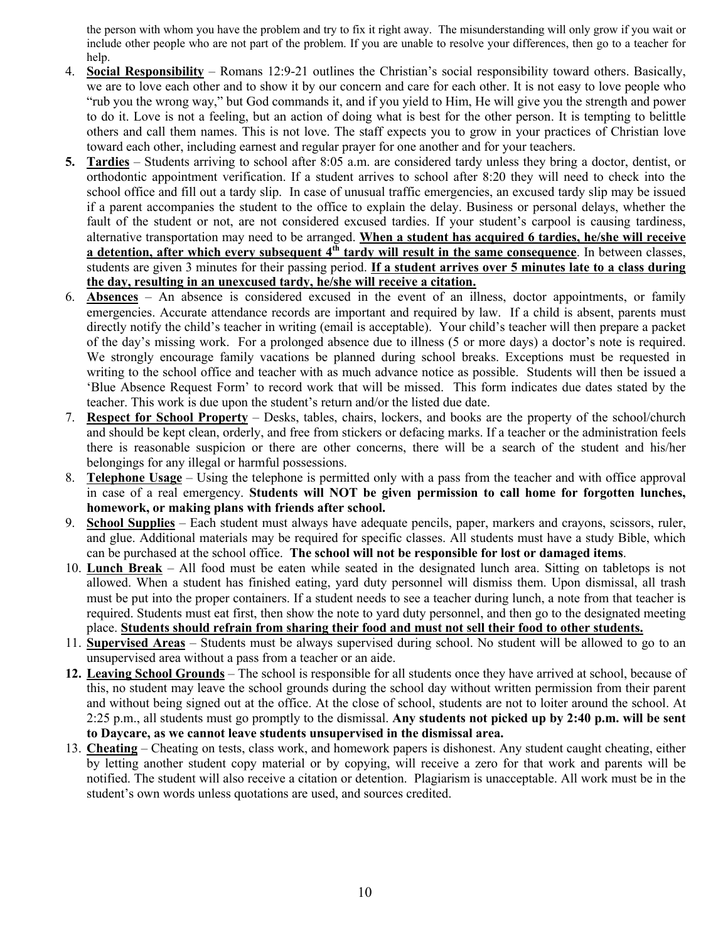the person with whom you have the problem and try to fix it right away. The misunderstanding will only grow if you wait or include other people who are not part of the problem. If you are unable to resolve your differences, then go to a teacher for help.

- 4. **Social Responsibility** Romans 12:9-21 outlines the Christian's social responsibility toward others. Basically, we are to love each other and to show it by our concern and care for each other. It is not easy to love people who "rub you the wrong way," but God commands it, and if you yield to Him, He will give you the strength and power to do it. Love is not a feeling, but an action of doing what is best for the other person. It is tempting to belittle others and call them names. This is not love. The staff expects you to grow in your practices of Christian love toward each other, including earnest and regular prayer for one another and for your teachers.
- **5. Tardies** Students arriving to school after 8:05 a.m. are considered tardy unless they bring a doctor, dentist, or orthodontic appointment verification. If a student arrives to school after 8:20 they will need to check into the school office and fill out a tardy slip. In case of unusual traffic emergencies, an excused tardy slip may be issued if a parent accompanies the student to the office to explain the delay. Business or personal delays, whether the fault of the student or not, are not considered excused tardies. If your student's carpool is causing tardiness, alternative transportation may need to be arranged. **When a student has acquired 6 tardies, he/she will receive a detention, after which every subsequent 4<sup>th</sup> tardy will result in the same consequence**. In between classes, students are given 3 minutes for their passing period. **If a student arrives over 5 minutes late to a class during the day, resulting in an unexcused tardy, he/she will receive a citation.**
- 6. **Absences** An absence is considered excused in the event of an illness, doctor appointments, or family emergencies. Accurate attendance records are important and required by law. If a child is absent, parents must directly notify the child's teacher in writing (email is acceptable). Your child's teacher will then prepare a packet of the day's missing work. For a prolonged absence due to illness (5 or more days) a doctor's note is required. We strongly encourage family vacations be planned during school breaks. Exceptions must be requested in writing to the school office and teacher with as much advance notice as possible. Students will then be issued a 'Blue Absence Request Form' to record work that will be missed. This form indicates due dates stated by the teacher. This work is due upon the student's return and/or the listed due date.
- 7. **Respect for School Property** Desks, tables, chairs, lockers, and books are the property of the school/church and should be kept clean, orderly, and free from stickers or defacing marks. If a teacher or the administration feels there is reasonable suspicion or there are other concerns, there will be a search of the student and his/her belongings for any illegal or harmful possessions.
- 8. **Telephone Usage** Using the telephone is permitted only with a pass from the teacher and with office approval in case of a real emergency. **Students will NOT be given permission to call home for forgotten lunches, homework, or making plans with friends after school.**
- 9. **School Supplies** Each student must always have adequate pencils, paper, markers and crayons, scissors, ruler, and glue. Additional materials may be required for specific classes. All students must have a study Bible, which can be purchased at the school office. **The school will not be responsible for lost or damaged items**.
- 10. **Lunch Break** All food must be eaten while seated in the designated lunch area. Sitting on tabletops is not allowed. When a student has finished eating, yard duty personnel will dismiss them. Upon dismissal, all trash must be put into the proper containers. If a student needs to see a teacher during lunch, a note from that teacher is required. Students must eat first, then show the note to yard duty personnel, and then go to the designated meeting place. **Students should refrain from sharing their food and must not sell their food to other students.**
- 11. **Supervised Areas** Students must be always supervised during school. No student will be allowed to go to an unsupervised area without a pass from a teacher or an aide.
- **12. Leaving School Grounds** The school is responsible for all students once they have arrived at school, because of this, no student may leave the school grounds during the school day without written permission from their parent and without being signed out at the office. At the close of school, students are not to loiter around the school. At 2:25 p.m., all students must go promptly to the dismissal. **Any students not picked up by 2:40 p.m. will be sent to Daycare, as we cannot leave students unsupervised in the dismissal area.**
- 13. **Cheating** Cheating on tests, class work, and homework papers is dishonest. Any student caught cheating, either by letting another student copy material or by copying, will receive a zero for that work and parents will be notified. The student will also receive a citation or detention. Plagiarism is unacceptable. All work must be in the student's own words unless quotations are used, and sources credited.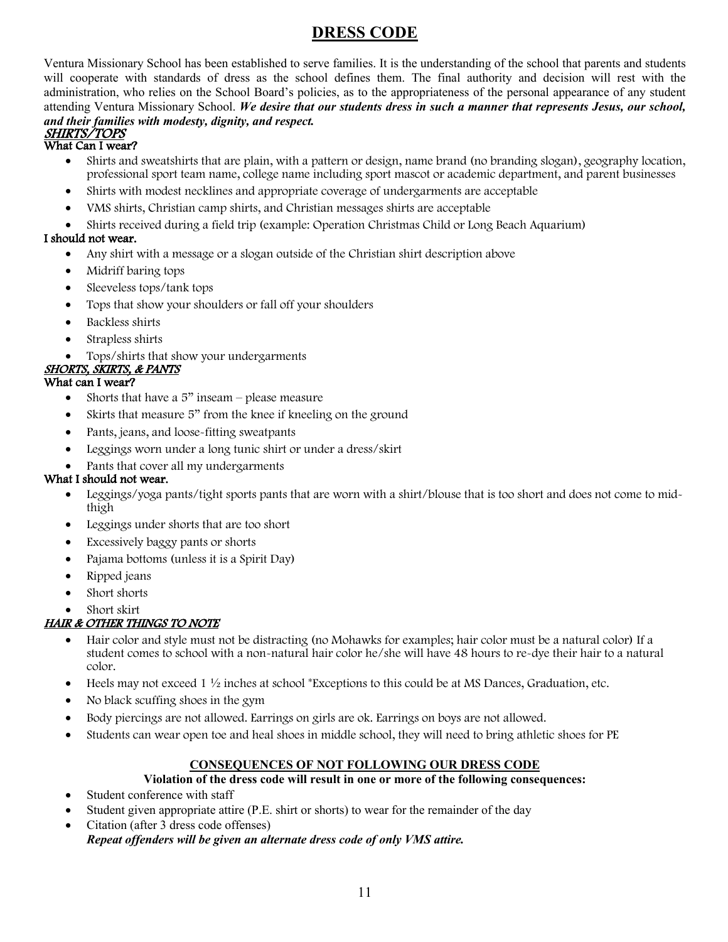## **DRESS CODE**

Ventura Missionary School has been established to serve families. It is the understanding of the school that parents and students will cooperate with standards of dress as the school defines them. The final authority and decision will rest with the administration, who relies on the School Board's policies, as to the appropriateness of the personal appearance of any student attending Ventura Missionary School. *We desire that our students dress in such a manner that represents Jesus, our school, and their families with modesty, dignity, and respect.*

#### SHIRTS/TOPS What Can I wear?

- Shirts and sweatshirts that are plain, with a pattern or design, name brand (no branding slogan), geography location, professional sport team name, college name including sport mascot or academic department, and parent businesses
- Shirts with modest necklines and appropriate coverage of undergarments are acceptable
- VMS shirts, Christian camp shirts, and Christian messages shirts are acceptable
- Shirts received during a field trip (example: Operation Christmas Child or Long Beach Aquarium)

#### I should not wear.

- Any shirt with a message or a slogan outside of the Christian shirt description above
- Midriff baring tops
- Sleeveless tops/tank tops
- Tops that show your shoulders or fall off your shoulders
- Backless shirts
- Strapless shirts
- Tops/shirts that show your undergarments

### SHORTS, SKIRTS, & PANTS

#### What can I wear?

- Shorts that have a  $5$ " inseam please measure
- Skirts that measure 5" from the knee if kneeling on the ground
- Pants, jeans, and loose-fitting sweatpants
- Leggings worn under a long tunic shirt or under a dress/skirt
- Pants that cover all my undergarments

#### What I should not wear.

- Leggings/yoga pants/tight sports pants that are worn with a shirt/blouse that is too short and does not come to midthigh
- Leggings under shorts that are too short
- Excessively baggy pants or shorts
- Pajama bottoms (unless it is a Spirit Day)
- Ripped jeans
- Short shorts
- Short skirt

#### HAIR & OTHER THINGS TO NOTE

- Hair color and style must not be distracting (no Mohawks for examples; hair color must be a natural color) If a student comes to school with a non-natural hair color he/she will have 48 hours to re-dye their hair to a natural color.
- Heels may not exceed 1  $\frac{1}{2}$  inches at school \*Exceptions to this could be at MS Dances, Graduation, etc.
- No black scuffing shoes in the gym
- Body piercings are not allowed. Earrings on girls are ok. Earrings on boys are not allowed.
- Students can wear open toe and heal shoes in middle school, they will need to bring athletic shoes for PE

#### **CONSEQUENCES OF NOT FOLLOWING OUR DRESS CODE**

#### **Violation of the dress code will result in one or more of the following consequences:**

- Student conference with staff
- Student given appropriate attire (P.E. shirt or shorts) to wear for the remainder of the day
- Citation (after 3 dress code offenses) *Repeat offenders will be given an alternate dress code of only VMS attire.*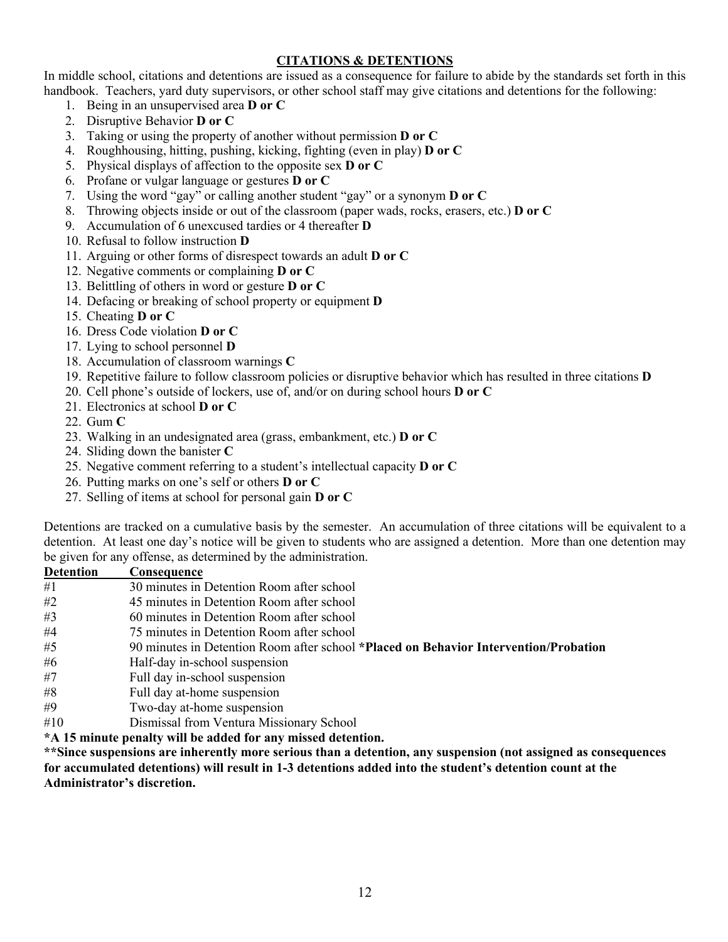#### **CITATIONS & DETENTIONS**

In middle school, citations and detentions are issued as a consequence for failure to abide by the standards set forth in this handbook. Teachers, yard duty supervisors, or other school staff may give citations and detentions for the following:

- 1. Being in an unsupervised area **D or C**
- 2. Disruptive Behavior **D or C**
- 3. Taking or using the property of another without permission **D or C**
- 4. Roughhousing, hitting, pushing, kicking, fighting (even in play) **D or C**
- 5. Physical displays of affection to the opposite sex **D or C**
- 6. Profane or vulgar language or gestures **D or C**
- 7. Using the word "gay" or calling another student "gay" or a synonym **D or C**
- 8. Throwing objects inside or out of the classroom (paper wads, rocks, erasers, etc.) **D or C**
- 9. Accumulation of 6 unexcused tardies or 4 thereafter **D**
- 10. Refusal to follow instruction **D**
- 11. Arguing or other forms of disrespect towards an adult **D or C**
- 12. Negative comments or complaining **D or C**
- 13. Belittling of others in word or gesture **D or C**
- 14. Defacing or breaking of school property or equipment **D**
- 15. Cheating **D or C**
- 16. Dress Code violation **D or C**
- 17. Lying to school personnel **D**
- 18. Accumulation of classroom warnings **C**
- 19. Repetitive failure to follow classroom policies or disruptive behavior which has resulted in three citations **D**
- 20. Cell phone's outside of lockers, use of, and/or on during school hours **D or C**
- 21. Electronics at school **D or C**
- 22. Gum **C**
- 23. Walking in an undesignated area (grass, embankment, etc.) **D or C**
- 24. Sliding down the banister **C**
- 25. Negative comment referring to a student's intellectual capacity **D or C**
- 26. Putting marks on one's self or others **D or C**
- 27. Selling of items at school for personal gain **D or C**

Detentions are tracked on a cumulative basis by the semester. An accumulation of three citations will be equivalent to a detention. At least one day's notice will be given to students who are assigned a detention. More than one detention may be given for any offense, as determined by the administration.

| <b>Detention</b>   | Consequence                                                                                                                                                                                                                                                                              |
|--------------------|------------------------------------------------------------------------------------------------------------------------------------------------------------------------------------------------------------------------------------------------------------------------------------------|
| #1                 | 30 minutes in Detention Room after school                                                                                                                                                                                                                                                |
| #2                 | 45 minutes in Detention Room after school                                                                                                                                                                                                                                                |
| #3                 | 60 minutes in Detention Room after school                                                                                                                                                                                                                                                |
| #4                 | 75 minutes in Detention Room after school                                                                                                                                                                                                                                                |
| #5                 | 90 minutes in Detention Room after school *Placed on Behavior Intervention/Probation                                                                                                                                                                                                     |
| #6                 | Half-day in-school suspension                                                                                                                                                                                                                                                            |
| #7                 | Full day in-school suspension                                                                                                                                                                                                                                                            |
| #8                 | Full day at-home suspension                                                                                                                                                                                                                                                              |
| #9                 | Two-day at-home suspension                                                                                                                                                                                                                                                               |
| $\perp$ 1 $\wedge$ | $\mathbf{D}^1$ and $\mathbf{L}^2$ and $\mathbf{L}^2$ and $\mathbf{L}^2$ and $\mathbf{L}^2$ and $\mathbf{L}^2$ and $\mathbf{L}^2$ and $\mathbf{L}^2$ and $\mathbf{L}^2$ and $\mathbf{L}^2$ and $\mathbf{L}^2$ and $\mathbf{L}^2$ and $\mathbf{L}^2$ and $\mathbf{L}^2$ and $\mathbf{L}^2$ |

- #10 Dismissal from Ventura Missionary School
- **\*A 15 minute penalty will be added for any missed detention.**

**\*\*Since suspensions are inherently more serious than a detention, any suspension (not assigned as consequences for accumulated detentions) will result in 1-3 detentions added into the student's detention count at the Administrator's discretion.**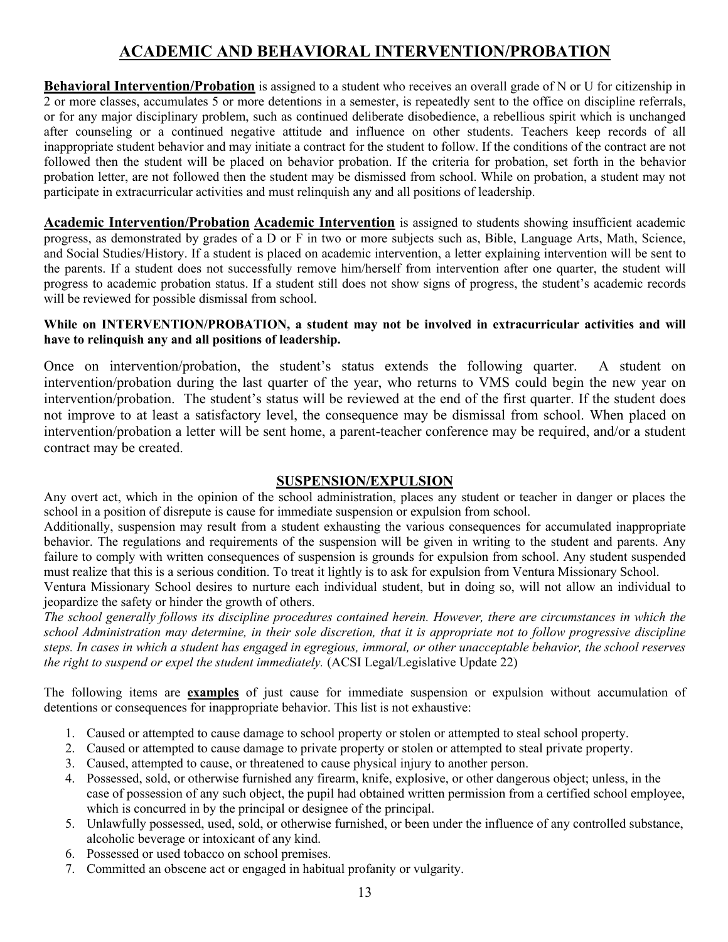# **ACADEMIC AND BEHAVIORAL INTERVENTION/PROBATION**

**Behavioral Intervention/Probation** is assigned to a student who receives an overall grade of N or U for citizenship in 2 or more classes, accumulates 5 or more detentions in a semester, is repeatedly sent to the office on discipline referrals, or for any major disciplinary problem, such as continued deliberate disobedience, a rebellious spirit which is unchanged after counseling or a continued negative attitude and influence on other students. Teachers keep records of all inappropriate student behavior and may initiate a contract for the student to follow. If the conditions of the contract are not followed then the student will be placed on behavior probation. If the criteria for probation, set forth in the behavior probation letter, are not followed then the student may be dismissed from school. While on probation, a student may not participate in extracurricular activities and must relinquish any and all positions of leadership.

**Academic Intervention/Probation Academic Intervention** is assigned to students showing insufficient academic progress, as demonstrated by grades of a D or F in two or more subjects such as, Bible, Language Arts, Math, Science, and Social Studies/History. If a student is placed on academic intervention, a letter explaining intervention will be sent to the parents. If a student does not successfully remove him/herself from intervention after one quarter, the student will progress to academic probation status. If a student still does not show signs of progress, the student's academic records will be reviewed for possible dismissal from school.

#### **While on INTERVENTION/PROBATION, a student may not be involved in extracurricular activities and will have to relinquish any and all positions of leadership.**

Once on intervention/probation, the student's status extends the following quarter. A student on intervention/probation during the last quarter of the year, who returns to VMS could begin the new year on intervention/probation. The student's status will be reviewed at the end of the first quarter. If the student does not improve to at least a satisfactory level, the consequence may be dismissal from school. When placed on intervention/probation a letter will be sent home, a parent-teacher conference may be required, and/or a student contract may be created.

#### **SUSPENSION/EXPULSION**

Any overt act, which in the opinion of the school administration, places any student or teacher in danger or places the school in a position of disrepute is cause for immediate suspension or expulsion from school.

Additionally, suspension may result from a student exhausting the various consequences for accumulated inappropriate behavior. The regulations and requirements of the suspension will be given in writing to the student and parents. Any failure to comply with written consequences of suspension is grounds for expulsion from school. Any student suspended must realize that this is a serious condition. To treat it lightly is to ask for expulsion from Ventura Missionary School.

Ventura Missionary School desires to nurture each individual student, but in doing so, will not allow an individual to jeopardize the safety or hinder the growth of others.

*The school generally follows its discipline procedures contained herein. However, there are circumstances in which the school Administration may determine, in their sole discretion, that it is appropriate not to follow progressive discipline steps. In cases in which a student has engaged in egregious, immoral, or other unacceptable behavior, the school reserves the right to suspend or expel the student immediately.* (ACSI Legal/Legislative Update 22)

The following items are **examples** of just cause for immediate suspension or expulsion without accumulation of detentions or consequences for inappropriate behavior. This list is not exhaustive:

- 1. Caused or attempted to cause damage to school property or stolen or attempted to steal school property.
- 2. Caused or attempted to cause damage to private property or stolen or attempted to steal private property.
- 3. Caused, attempted to cause, or threatened to cause physical injury to another person.
- 4. Possessed, sold, or otherwise furnished any firearm, knife, explosive, or other dangerous object; unless, in the case of possession of any such object, the pupil had obtained written permission from a certified school employee, which is concurred in by the principal or designee of the principal.
- 5. Unlawfully possessed, used, sold, or otherwise furnished, or been under the influence of any controlled substance, alcoholic beverage or intoxicant of any kind.
- 6. Possessed or used tobacco on school premises.
- 7. Committed an obscene act or engaged in habitual profanity or vulgarity.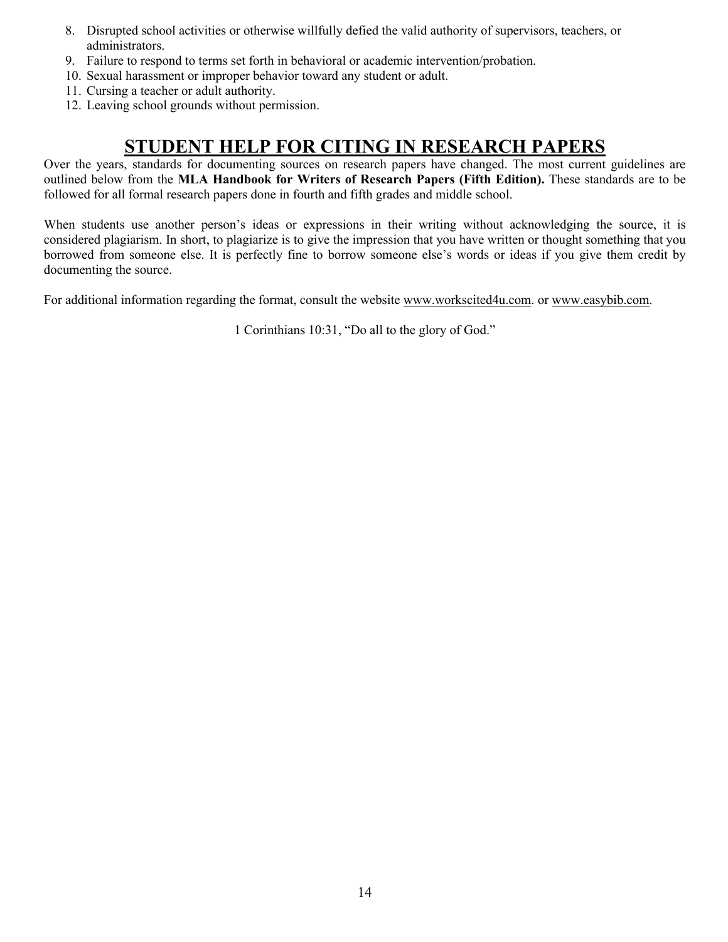- 8. Disrupted school activities or otherwise willfully defied the valid authority of supervisors, teachers, or administrators.
- 9. Failure to respond to terms set forth in behavioral or academic intervention/probation.
- 10. Sexual harassment or improper behavior toward any student or adult.
- 11. Cursing a teacher or adult authority.
- 12. Leaving school grounds without permission.

# **STUDENT HELP FOR CITING IN RESEARCH PAPERS**

Over the years, standards for documenting sources on research papers have changed. The most current guidelines are outlined below from the **MLA Handbook for Writers of Research Papers (Fifth Edition).** These standards are to be followed for all formal research papers done in fourth and fifth grades and middle school.

When students use another person's ideas or expressions in their writing without acknowledging the source, it is considered plagiarism. In short, to plagiarize is to give the impression that you have written or thought something that you borrowed from someone else. It is perfectly fine to borrow someone else's words or ideas if you give them credit by documenting the source.

For additional information regarding the format, consult the website www.workscited4u.com. or www.easybib.com.

1 Corinthians 10:31, "Do all to the glory of God."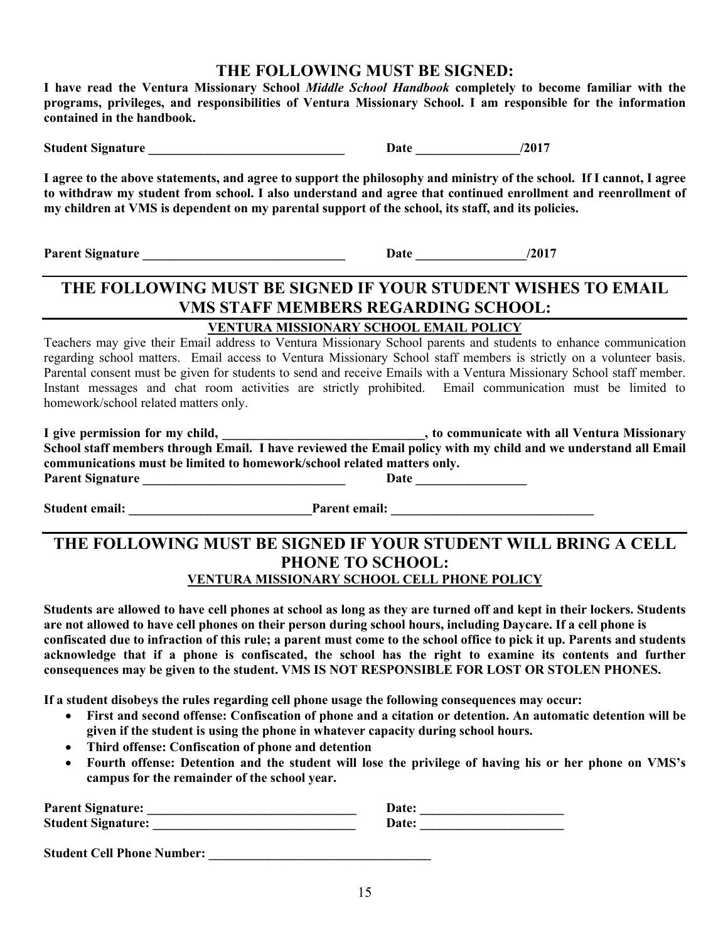### **THE FOLLOWING MUST BE SIGNED:**

**I have read the Ventura Missionary School** *Middle School Handbook* **completely to become familiar with the programs, privileges, and responsibilities of Ventura Missionary School. I am responsible for the information contained in the handbook.** 

**Student Signature**  $/2017$ 

**I agree to the above statements, and agree to support the philosophy and ministry of the school. If I cannot, I agree to withdraw my student from school. I also understand and agree that continued enrollment and reenrollment of my children at VMS is dependent on my parental support of the school, its staff, and its policies.**

**Parent Signature \_\_\_\_\_\_\_\_\_\_\_\_\_\_\_\_\_\_\_\_\_\_\_\_\_\_\_\_\_\_\_ Date \_\_\_\_\_\_\_\_\_\_\_\_\_\_\_\_\_/2017**

# **THE FOLLOWING MUST BE SIGNED IF YOUR STUDENT WISHES TO EMAIL VMS STAFF MEMBERS REGARDING SCHOOL:**

#### **VENTURA MISSIONARY SCHOOL EMAIL POLICY**

Teachers may give their Email address to Ventura Missionary School parents and students to enhance communication regarding school matters. Email access to Ventura Missionary School staff members is strictly on a volunteer basis. Parental consent must be given for students to send and receive Emails with a Ventura Missionary School staff member. Instant messages and chat room activities are strictly prohibited. Email communication must be limited to homework/school related matters only.

| I give permission for my child,                                         | , to communicate with all Ventura Missionary                                                                   |
|-------------------------------------------------------------------------|----------------------------------------------------------------------------------------------------------------|
|                                                                         | School staff members through Email. I have reviewed the Email policy with my child and we understand all Email |
| communications must be limited to homework/school related matters only. |                                                                                                                |
| <b>Parent Signature</b>                                                 | Date                                                                                                           |

Student email: The extendion of the extendion of the extendion of the extendion of the extendion of the extendion of the extendion of the extendion of the extendion of the extendion of the extendion of the extendion of the

### **THE FOLLOWING MUST BE SIGNED IF YOUR STUDENT WILL BRING A CELL PHONE TO SCHOOL: VENTURA MISSIONARY SCHOOL CELL PHONE POLICY**

**Students are allowed to have cell phones at school as long as they are turned off and kept in their lockers. Students are not allowed to have cell phones on their person during school hours, including Daycare. If a cell phone is confiscated due to infraction of this rule; a parent must come to the school office to pick it up. Parents and students acknowledge that if a phone is confiscated, the school has the right to examine its contents and further consequences may be given to the student. VMS IS NOT RESPONSIBLE FOR LOST OR STOLEN PHONES.**

**If a student disobeys the rules regarding cell phone usage the following consequences may occur:**

- **First and second offense: Confiscation of phone and a citation or detention. An automatic detention will be given if the student is using the phone in whatever capacity during school hours.**
- **Third offense: Confiscation of phone and detention**
- **Fourth offense: Detention and the student will lose the privilege of having his or her phone on VMS's campus for the remainder of the school year.**

| <b>Parent Signature:</b>          | Date: |
|-----------------------------------|-------|
| <b>Student Signature:</b>         | Date: |
|                                   |       |
| <b>Student Cell Phone Number:</b> |       |